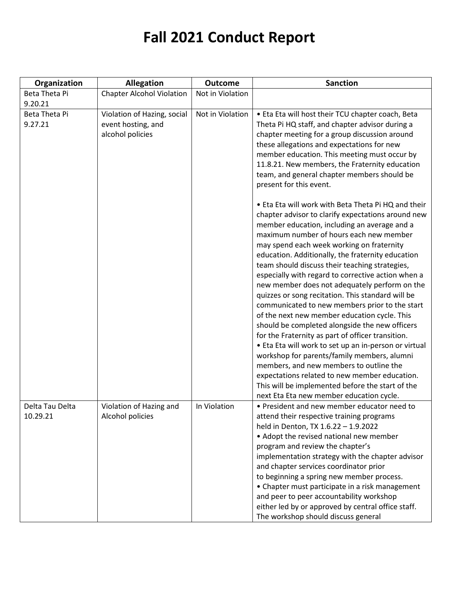| Organization                | <b>Allegation</b>                                                     | <b>Outcome</b>   | <b>Sanction</b>                                                                                                                                                                                                                                                                                                                                                                                                                                                                                                                                                                                                                                                                                                                                                                                                                                                                                                                                                                                                                   |
|-----------------------------|-----------------------------------------------------------------------|------------------|-----------------------------------------------------------------------------------------------------------------------------------------------------------------------------------------------------------------------------------------------------------------------------------------------------------------------------------------------------------------------------------------------------------------------------------------------------------------------------------------------------------------------------------------------------------------------------------------------------------------------------------------------------------------------------------------------------------------------------------------------------------------------------------------------------------------------------------------------------------------------------------------------------------------------------------------------------------------------------------------------------------------------------------|
| Beta Theta Pi               | <b>Chapter Alcohol Violation</b>                                      | Not in Violation |                                                                                                                                                                                                                                                                                                                                                                                                                                                                                                                                                                                                                                                                                                                                                                                                                                                                                                                                                                                                                                   |
| 9.20.21                     |                                                                       |                  |                                                                                                                                                                                                                                                                                                                                                                                                                                                                                                                                                                                                                                                                                                                                                                                                                                                                                                                                                                                                                                   |
| Beta Theta Pi<br>9.27.21    | Violation of Hazing, social<br>event hosting, and<br>alcohol policies | Not in Violation | • Eta Eta will host their TCU chapter coach, Beta<br>Theta Pi HQ staff, and chapter advisor during a<br>chapter meeting for a group discussion around<br>these allegations and expectations for new<br>member education. This meeting must occur by<br>11.8.21. New members, the Fraternity education<br>team, and general chapter members should be<br>present for this event.                                                                                                                                                                                                                                                                                                                                                                                                                                                                                                                                                                                                                                                   |
|                             |                                                                       |                  | • Eta Eta will work with Beta Theta Pi HQ and their<br>chapter advisor to clarify expectations around new<br>member education, including an average and a<br>maximum number of hours each new member<br>may spend each week working on fraternity<br>education. Additionally, the fraternity education<br>team should discuss their teaching strategies,<br>especially with regard to corrective action when a<br>new member does not adequately perform on the<br>quizzes or song recitation. This standard will be<br>communicated to new members prior to the start<br>of the next new member education cycle. This<br>should be completed alongside the new officers<br>for the Fraternity as part of officer transition.<br>• Eta Eta will work to set up an in-person or virtual<br>workshop for parents/family members, alumni<br>members, and new members to outline the<br>expectations related to new member education.<br>This will be implemented before the start of the<br>next Eta Eta new member education cycle. |
| Delta Tau Delta<br>10.29.21 | Violation of Hazing and<br>Alcohol policies                           | In Violation     | • President and new member educator need to<br>attend their respective training programs<br>held in Denton, TX 1.6.22 - 1.9.2022<br>• Adopt the revised national new member<br>program and review the chapter's<br>implementation strategy with the chapter advisor<br>and chapter services coordinator prior<br>to beginning a spring new member process.<br>• Chapter must participate in a risk management<br>and peer to peer accountability workshop<br>either led by or approved by central office staff.<br>The workshop should discuss general                                                                                                                                                                                                                                                                                                                                                                                                                                                                            |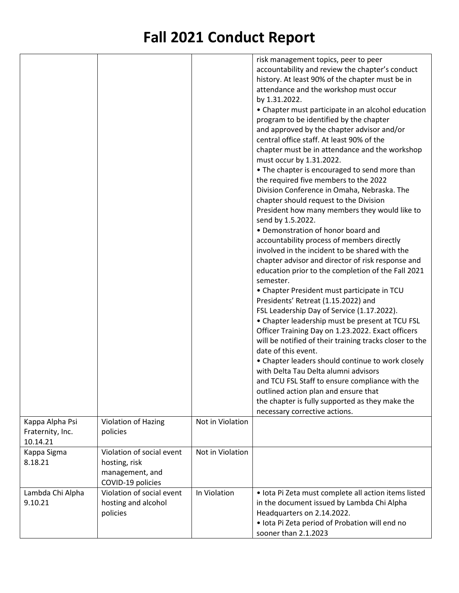| Kappa Alpha Psi<br>Fraternity, Inc.<br>10.14.21<br>Kappa Sigma | Violation of Hazing<br>policies<br>Violation of social event | Not in Violation<br>Not in Violation | risk management topics, peer to peer<br>accountability and review the chapter's conduct<br>history. At least 90% of the chapter must be in<br>attendance and the workshop must occur<br>by 1.31.2022.<br>• Chapter must participate in an alcohol education<br>program to be identified by the chapter<br>and approved by the chapter advisor and/or<br>central office staff. At least 90% of the<br>chapter must be in attendance and the workshop<br>must occur by 1.31.2022.<br>• The chapter is encouraged to send more than<br>the required five members to the 2022<br>Division Conference in Omaha, Nebraska. The<br>chapter should request to the Division<br>President how many members they would like to<br>send by 1.5.2022.<br>• Demonstration of honor board and<br>accountability process of members directly<br>involved in the incident to be shared with the<br>chapter advisor and director of risk response and<br>education prior to the completion of the Fall 2021<br>semester.<br>• Chapter President must participate in TCU<br>Presidents' Retreat (1.15.2022) and<br>FSL Leadership Day of Service (1.17.2022).<br>• Chapter leadership must be present at TCU FSL<br>Officer Training Day on 1.23.2022. Exact officers<br>will be notified of their training tracks closer to the<br>date of this event.<br>• Chapter leaders should continue to work closely<br>with Delta Tau Delta alumni advisors<br>and TCU FSL Staff to ensure compliance with the<br>outlined action plan and ensure that<br>the chapter is fully supported as they make the<br>necessary corrective actions. |
|----------------------------------------------------------------|--------------------------------------------------------------|--------------------------------------|------------------------------------------------------------------------------------------------------------------------------------------------------------------------------------------------------------------------------------------------------------------------------------------------------------------------------------------------------------------------------------------------------------------------------------------------------------------------------------------------------------------------------------------------------------------------------------------------------------------------------------------------------------------------------------------------------------------------------------------------------------------------------------------------------------------------------------------------------------------------------------------------------------------------------------------------------------------------------------------------------------------------------------------------------------------------------------------------------------------------------------------------------------------------------------------------------------------------------------------------------------------------------------------------------------------------------------------------------------------------------------------------------------------------------------------------------------------------------------------------------------------------------------------------------------------------------------------------------------------|
|                                                                |                                                              |                                      |                                                                                                                                                                                                                                                                                                                                                                                                                                                                                                                                                                                                                                                                                                                                                                                                                                                                                                                                                                                                                                                                                                                                                                                                                                                                                                                                                                                                                                                                                                                                                                                                                  |
| 8.18.21                                                        | hosting, risk<br>management, and<br>COVID-19 policies        |                                      |                                                                                                                                                                                                                                                                                                                                                                                                                                                                                                                                                                                                                                                                                                                                                                                                                                                                                                                                                                                                                                                                                                                                                                                                                                                                                                                                                                                                                                                                                                                                                                                                                  |
| Lambda Chi Alpha<br>9.10.21                                    | Violation of social event<br>hosting and alcohol<br>policies | In Violation                         | · Iota Pi Zeta must complete all action items listed<br>in the document issued by Lambda Chi Alpha<br>Headquarters on 2.14.2022.<br>· Iota Pi Zeta period of Probation will end no<br>sooner than 2.1.2023                                                                                                                                                                                                                                                                                                                                                                                                                                                                                                                                                                                                                                                                                                                                                                                                                                                                                                                                                                                                                                                                                                                                                                                                                                                                                                                                                                                                       |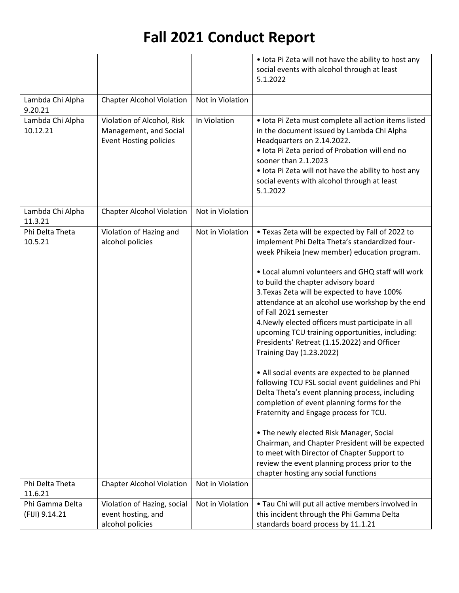|                             |                                  |                  | • lota Pi Zeta will not have the ability to host any                      |
|-----------------------------|----------------------------------|------------------|---------------------------------------------------------------------------|
|                             |                                  |                  | social events with alcohol through at least                               |
|                             |                                  |                  | 5.1.2022                                                                  |
|                             |                                  |                  |                                                                           |
| Lambda Chi Alpha<br>9.20.21 | <b>Chapter Alcohol Violation</b> | Not in Violation |                                                                           |
| Lambda Chi Alpha            | Violation of Alcohol, Risk       | In Violation     | · Iota Pi Zeta must complete all action items listed                      |
| 10.12.21                    | Management, and Social           |                  | in the document issued by Lambda Chi Alpha                                |
|                             | <b>Event Hosting policies</b>    |                  | Headquarters on 2.14.2022.                                                |
|                             |                                  |                  | · Iota Pi Zeta period of Probation will end no                            |
|                             |                                  |                  | sooner than 2.1.2023                                                      |
|                             |                                  |                  | • Iota Pi Zeta will not have the ability to host any                      |
|                             |                                  |                  | social events with alcohol through at least                               |
|                             |                                  |                  | 5.1.2022                                                                  |
| Lambda Chi Alpha            | <b>Chapter Alcohol Violation</b> | Not in Violation |                                                                           |
| 11.3.21                     |                                  |                  |                                                                           |
| Phi Delta Theta             | Violation of Hazing and          | Not in Violation | . Texas Zeta will be expected by Fall of 2022 to                          |
| 10.5.21                     | alcohol policies                 |                  | implement Phi Delta Theta's standardized four-                            |
|                             |                                  |                  | week Phikeia (new member) education program.                              |
|                             |                                  |                  |                                                                           |
|                             |                                  |                  | • Local alumni volunteers and GHQ staff will work                         |
|                             |                                  |                  | to build the chapter advisory board                                       |
|                             |                                  |                  | 3. Texas Zeta will be expected to have 100%                               |
|                             |                                  |                  | attendance at an alcohol use workshop by the end<br>of Fall 2021 semester |
|                             |                                  |                  | 4. Newly elected officers must participate in all                         |
|                             |                                  |                  | upcoming TCU training opportunities, including:                           |
|                             |                                  |                  | Presidents' Retreat (1.15.2022) and Officer                               |
|                             |                                  |                  | <b>Training Day (1.23.2022)</b>                                           |
|                             |                                  |                  |                                                                           |
|                             |                                  |                  | • All social events are expected to be planned                            |
|                             |                                  |                  | following TCU FSL social event guidelines and Phi                         |
|                             |                                  |                  | Delta Theta's event planning process, including                           |
|                             |                                  |                  | completion of event planning forms for the                                |
|                             |                                  |                  | Fraternity and Engage process for TCU.                                    |
|                             |                                  |                  | • The newly elected Risk Manager, Social                                  |
|                             |                                  |                  | Chairman, and Chapter President will be expected                          |
|                             |                                  |                  | to meet with Director of Chapter Support to                               |
|                             |                                  |                  | review the event planning process prior to the                            |
|                             |                                  |                  | chapter hosting any social functions                                      |
| Phi Delta Theta             | <b>Chapter Alcohol Violation</b> | Not in Violation |                                                                           |
| 11.6.21                     |                                  |                  |                                                                           |
| Phi Gamma Delta             | Violation of Hazing, social      | Not in Violation | . Tau Chi will put all active members involved in                         |
| (FIJI) 9.14.21              | event hosting, and               |                  | this incident through the Phi Gamma Delta                                 |
|                             | alcohol policies                 |                  | standards board process by 11.1.21                                        |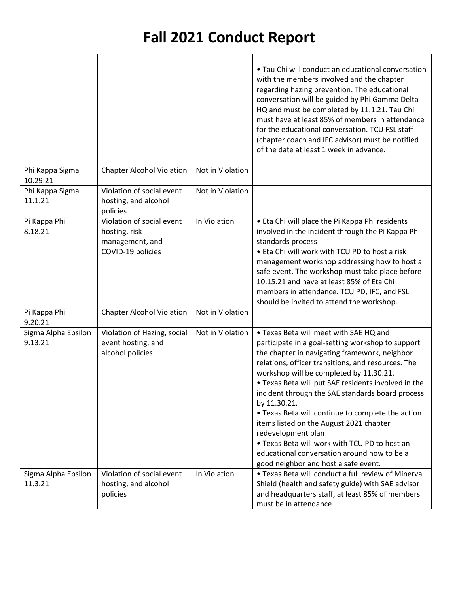|                                |                                                                                    |                  | • Tau Chi will conduct an educational conversation<br>with the members involved and the chapter<br>regarding hazing prevention. The educational<br>conversation will be guided by Phi Gamma Delta<br>HQ and must be completed by 11.1.21. Tau Chi<br>must have at least 85% of members in attendance<br>for the educational conversation. TCU FSL staff<br>(chapter coach and IFC advisor) must be notified<br>of the date at least 1 week in advance.                                                                                                                                                                                 |
|--------------------------------|------------------------------------------------------------------------------------|------------------|----------------------------------------------------------------------------------------------------------------------------------------------------------------------------------------------------------------------------------------------------------------------------------------------------------------------------------------------------------------------------------------------------------------------------------------------------------------------------------------------------------------------------------------------------------------------------------------------------------------------------------------|
| Phi Kappa Sigma<br>10.29.21    | <b>Chapter Alcohol Violation</b>                                                   | Not in Violation |                                                                                                                                                                                                                                                                                                                                                                                                                                                                                                                                                                                                                                        |
| Phi Kappa Sigma<br>11.1.21     | Violation of social event<br>hosting, and alcohol<br>policies                      | Not in Violation |                                                                                                                                                                                                                                                                                                                                                                                                                                                                                                                                                                                                                                        |
| Pi Kappa Phi<br>8.18.21        | Violation of social event<br>hosting, risk<br>management, and<br>COVID-19 policies | In Violation     | • Eta Chi will place the Pi Kappa Phi residents<br>involved in the incident through the Pi Kappa Phi<br>standards process<br>• Eta Chi will work with TCU PD to host a risk<br>management workshop addressing how to host a<br>safe event. The workshop must take place before<br>10.15.21 and have at least 85% of Eta Chi<br>members in attendance. TCU PD, IFC, and FSL<br>should be invited to attend the workshop.                                                                                                                                                                                                                |
| Pi Kappa Phi<br>9.20.21        | <b>Chapter Alcohol Violation</b>                                                   | Not in Violation |                                                                                                                                                                                                                                                                                                                                                                                                                                                                                                                                                                                                                                        |
| Sigma Alpha Epsilon<br>9.13.21 | Violation of Hazing, social<br>event hosting, and<br>alcohol policies              | Not in Violation | • Texas Beta will meet with SAE HQ and<br>participate in a goal-setting workshop to support<br>the chapter in navigating framework, neighbor<br>relations, officer transitions, and resources. The<br>workshop will be completed by 11.30.21.<br>• Texas Beta will put SAE residents involved in the<br>incident through the SAE standards board process<br>by 11.30.21.<br>• Texas Beta will continue to complete the action<br>items listed on the August 2021 chapter<br>redevelopment plan<br>• Texas Beta will work with TCU PD to host an<br>educational conversation around how to be a<br>good neighbor and host a safe event. |
| Sigma Alpha Epsilon<br>11.3.21 | Violation of social event<br>hosting, and alcohol<br>policies                      | In Violation     | • Texas Beta will conduct a full review of Minerva<br>Shield (health and safety guide) with SAE advisor<br>and headquarters staff, at least 85% of members<br>must be in attendance                                                                                                                                                                                                                                                                                                                                                                                                                                                    |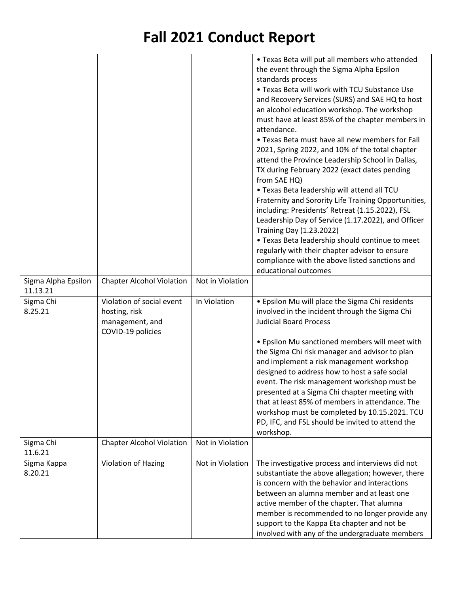|                     |                                  |                  | • Texas Beta will put all members who attended       |
|---------------------|----------------------------------|------------------|------------------------------------------------------|
|                     |                                  |                  | the event through the Sigma Alpha Epsilon            |
|                     |                                  |                  | standards process                                    |
|                     |                                  |                  | • Texas Beta will work with TCU Substance Use        |
|                     |                                  |                  | and Recovery Services (SURS) and SAE HQ to host      |
|                     |                                  |                  |                                                      |
|                     |                                  |                  | an alcohol education workshop. The workshop          |
|                     |                                  |                  | must have at least 85% of the chapter members in     |
|                     |                                  |                  | attendance.                                          |
|                     |                                  |                  | • Texas Beta must have all new members for Fall      |
|                     |                                  |                  | 2021, Spring 2022, and 10% of the total chapter      |
|                     |                                  |                  | attend the Province Leadership School in Dallas,     |
|                     |                                  |                  | TX during February 2022 (exact dates pending         |
|                     |                                  |                  | from SAE HQ)                                         |
|                     |                                  |                  | . Texas Beta leadership will attend all TCU          |
|                     |                                  |                  | Fraternity and Sorority Life Training Opportunities, |
|                     |                                  |                  | including: Presidents' Retreat (1.15.2022), FSL      |
|                     |                                  |                  | Leadership Day of Service (1.17.2022), and Officer   |
|                     |                                  |                  | <b>Training Day (1.23.2022)</b>                      |
|                     |                                  |                  | • Texas Beta leadership should continue to meet      |
|                     |                                  |                  |                                                      |
|                     |                                  |                  | regularly with their chapter advisor to ensure       |
|                     |                                  |                  | compliance with the above listed sanctions and       |
|                     |                                  |                  | educational outcomes                                 |
| Sigma Alpha Epsilon | <b>Chapter Alcohol Violation</b> | Not in Violation |                                                      |
| 11.13.21            |                                  |                  |                                                      |
|                     |                                  |                  |                                                      |
| Sigma Chi           | Violation of social event        | In Violation     | • Epsilon Mu will place the Sigma Chi residents      |
| 8.25.21             | hosting, risk                    |                  | involved in the incident through the Sigma Chi       |
|                     | management, and                  |                  | <b>Judicial Board Process</b>                        |
|                     | COVID-19 policies                |                  |                                                      |
|                     |                                  |                  | • Epsilon Mu sanctioned members will meet with       |
|                     |                                  |                  | the Sigma Chi risk manager and advisor to plan       |
|                     |                                  |                  | and implement a risk management workshop             |
|                     |                                  |                  |                                                      |
|                     |                                  |                  | designed to address how to host a safe social        |
|                     |                                  |                  | event. The risk management workshop must be          |
|                     |                                  |                  | presented at a Sigma Chi chapter meeting with        |
|                     |                                  |                  | that at least 85% of members in attendance. The      |
|                     |                                  |                  | workshop must be completed by 10.15.2021. TCU        |
|                     |                                  |                  | PD, IFC, and FSL should be invited to attend the     |
|                     |                                  |                  | workshop.                                            |
| Sigma Chi           | <b>Chapter Alcohol Violation</b> | Not in Violation |                                                      |
| 11.6.21             |                                  |                  |                                                      |
| Sigma Kappa         | Violation of Hazing              | Not in Violation | The investigative process and interviews did not     |
| 8.20.21             |                                  |                  | substantiate the above allegation; however, there    |
|                     |                                  |                  | is concern with the behavior and interactions        |
|                     |                                  |                  | between an alumna member and at least one            |
|                     |                                  |                  | active member of the chapter. That alumna            |
|                     |                                  |                  | member is recommended to no longer provide any       |
|                     |                                  |                  | support to the Kappa Eta chapter and not be          |